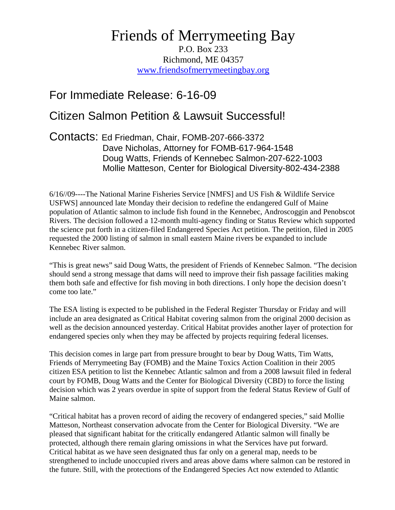## Friends of Merrymeeting Bay

P.O. Box 233 Richmond, ME 04357 www.friendsofmerrymeetingbay.org

## For Immediate Release: 6-16-09

## Citizen Salmon Petition & Lawsuit Successful!

Contacts: Ed Friedman, Chair, FOMB-207-666-3372 Dave Nicholas, Attorney for FOMB-617-964-1548 Doug Watts, Friends of Kennebec Salmon-207-622-1003 Mollie Matteson, Center for Biological Diversity-802-434-2388

6/16//09----The National Marine Fisheries Service [NMFS] and US Fish & Wildlife Service USFWS] announced late Monday their decision to redefine the endangered Gulf of Maine population of Atlantic salmon to include fish found in the Kennebec, Androscoggin and Penobscot Rivers. The decision followed a 12-month multi-agency finding or Status Review which supported the science put forth in a citizen-filed Endangered Species Act petition. The petition, filed in 2005 requested the 2000 listing of salmon in small eastern Maine rivers be expanded to include Kennebec River salmon.

"This is great news" said Doug Watts, the president of Friends of Kennebec Salmon. "The decision should send a strong message that dams will need to improve their fish passage facilities making them both safe and effective for fish moving in both directions. I only hope the decision doesn't come too late."

The ESA listing is expected to be published in the Federal Register Thursday or Friday and will include an area designated as Critical Habitat covering salmon from the original 2000 decision as well as the decision announced yesterday. Critical Habitat provides another layer of protection for endangered species only when they may be affected by projects requiring federal licenses.

This decision comes in large part from pressure brought to bear by Doug Watts, Tim Watts, Friends of Merrymeeting Bay (FOMB) and the Maine Toxics Action Coalition in their 2005 citizen ESA petition to list the Kennebec Atlantic salmon and from a 2008 lawsuit filed in federal court by FOMB, Doug Watts and the Center for Biological Diversity (CBD) to force the listing decision which was 2 years overdue in spite of support from the federal Status Review of Gulf of Maine salmon.

"Critical habitat has a proven record of aiding the recovery of endangered species," said Mollie Matteson, Northeast conservation advocate from the Center for Biological Diversity. "We are pleased that significant habitat for the critically endangered Atlantic salmon will finally be protected, although there remain glaring omissions in what the Services have put forward. Critical habitat as we have seen designated thus far only on a general map, needs to be strengthened to include unoccupied rivers and areas above dams where salmon can be restored in the future. Still, with the protections of the Endangered Species Act now extended to Atlantic